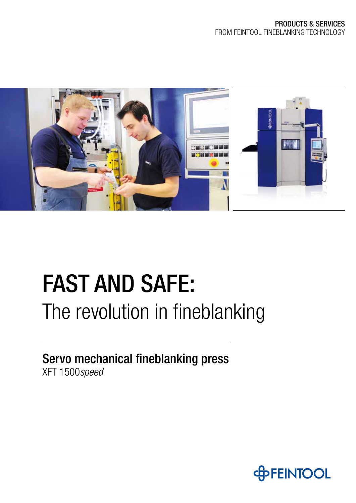

# FAST AND SAFE: The revolution in fineblanking

Servo mechanical fineblanking press XFT 1500*speed*

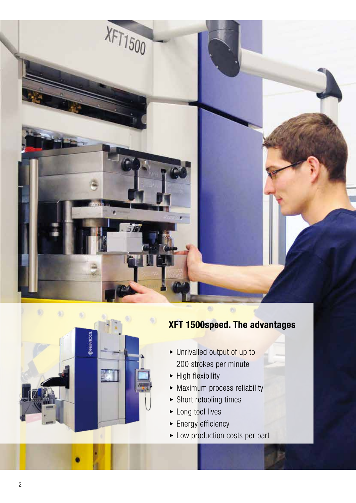



- ▶ Unrivalled output of up to 200 strokes per minute
- $\blacktriangleright$  High flexibility
- $\blacktriangleright$  Maximum process reliability
- $\blacktriangleright$  Short retooling times
- $\blacktriangleright$  Long tool lives
- $\blacktriangleright$  Energy efficiency
- $\blacktriangleright$  Low production costs per part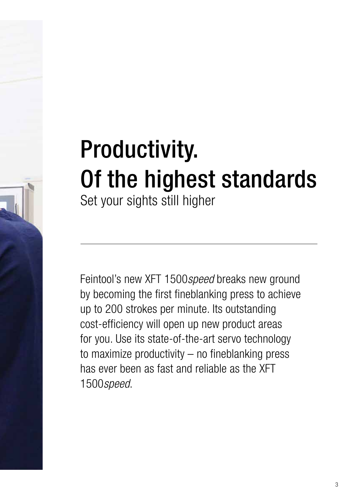# Productivity. Of the highest standards Set your sights still higher

Feintool's new XFT 1500*speed* breaks new ground by becoming the first fineblanking press to achieve up to 200 strokes per minute. Its outstanding cost-efficiency will open up new product areas for you. Use its state-of-the-art servo technology to maximize productivity – no fineblanking press has ever been as fast and reliable as the XFT 1500*speed*.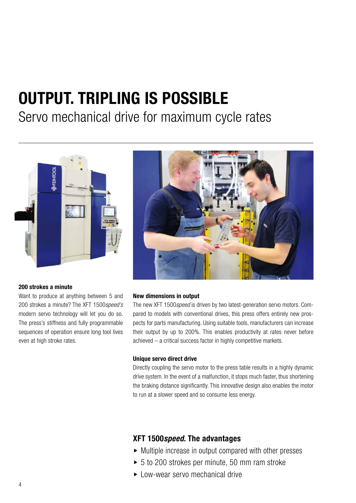## **OUTPUT. TRIPLING IS POSSIBLE**

### Servo mechanical drive for maximum cycle rates



#### **200 strokes a minute**

Want to produce at anything between 5 and 200 strokes a minute? The XFT 1500*speed's*  modern servo technology will let you do so. The press's stiffness and fully programmable sequences of operation ensure long tool lives even at high stroke rates.



#### **New dimensions in output**

The new XFT 1500*speed* is driven by two latest-generation servo motors. Compared to models with conventional drives, this press offers entirely new prospects for parts manufacturing. Using suitable tools, manufacturers can increase their output by up to 200%. This enables productivity at rates never before achieved – a critical success factor in highly competitive markets.

#### **Unique servo direct drive**

Directly coupling the servo motor to the press table results in a highly dynamic drive system. In the event of a malfunction, it stops much faster, thus shortening the braking distance significantly. This innovative design also enables the motor to run at a slower speed and so consume less energy.

- $\triangleright$  Multiple increase in output compared with other presses
- $\triangleright$  5 to 200 strokes per minute, 50 mm ram stroke
- $\blacktriangleright$  Low-wear servo mechanical drive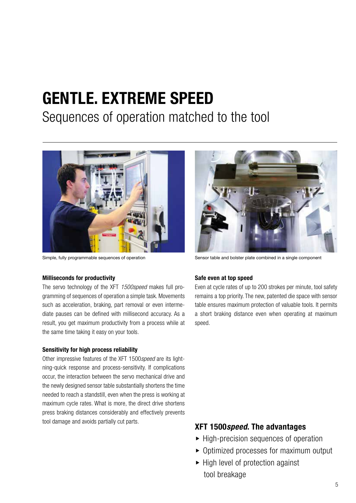## **GENTLE. EXTREME SPEED**

### Sequences of operation matched to the tool



#### **Milliseconds for productivity**

The servo technology of the XFT *1500speed* makes full programming of sequences of operation a simple task. Movements such as acceleration, braking, part removal or even intermediate pauses can be defined with millisecond accuracy. As a result, you get maximum productivity from a process while at the same time taking it easy on your tools.

#### **Sensitivity for high process reliability**

Other impressive features of the XFT 1500*speed* are its lightning-quick response and process-sensitivity. If complications occur, the interaction between the servo mechanical drive and the newly designed sensor table substantially shortens the time needed to reach a standstill, even when the press is working at maximum cycle rates. What is more, the direct drive shortens press braking distances considerably and effectively prevents tool damage and avoids partially cut parts.



Simple, fully programmable sequences of operation Sensor table and bolster plate combined in a single component

#### **Safe even at top speed**

Even at cycle rates of up to 200 strokes per minute, tool safety remains a top priority. The new, patented die space with sensor table ensures maximum protection of valuable tools. It permits a short braking distance even when operating at maximum speed.

- $\blacktriangleright$  High-precision sequences of operation
- $\triangleright$  Optimized processes for maximum output
- $\blacktriangleright$  High level of protection against tool breakage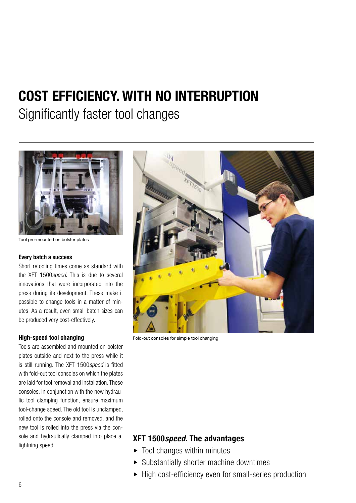### **COST EFFICIENCY. WITH NO INTERRUPTION**

Significantly faster tool changes



Tool pre-mounted on bolster plates

#### **Every batch a success**

Short retooling times come as standard with the XFT 1500*speed*. This is due to several innovations that were incorporated into the press during its development. These make it possible to change tools in a matter of minutes. As a result, even small batch sizes can be produced very cost-effectively.

#### **High-speed tool changing**

Tools are assembled and mounted on bolster plates outside and next to the press while it is still running. The XFT 1500*speed* is fitted with fold-out tool consoles on which the plates are laid for tool removal and installation. These consoles, in conjunction with the new hydraulic tool clamping function, ensure maximum tool-change speed. The old tool is unclamped, rolled onto the console and removed, and the new tool is rolled into the press via the console and hydraulically clamped into place at lightning speed.



Fold-out consoles for simple tool changing

- $\blacktriangleright$  Tool changes within minutes
- $\blacktriangleright$  Substantially shorter machine downtimes
- $\blacktriangleright$  High cost-efficiency even for small-series production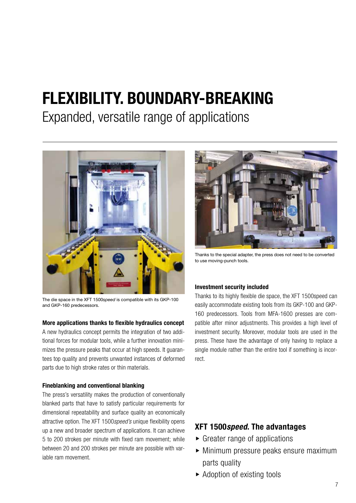## **FLEXIBILITY. BOUNDARY-BREAKING**

Expanded, versatile range of applications



The die space in the XFT 1500*speed* is compatible with its GKP-100 and GKP-160 predecessors.

#### **More applications thanks to flexible hydraulics concept**

A new hydraulics concept permits the integration of two additional forces for modular tools, while a further innovation minimizes the pressure peaks that occur at high speeds. It guarantees top quality and prevents unwanted instances of deformed parts due to high stroke rates or thin materials.

#### **Fineblanking and conventional blanking**

The press's versatility makes the production of conventionally blanked parts that have to satisfy particular requirements for dimensional repeatability and surface quality an economically attractive option. The XFT 1500*speed's* unique flexibility opens up a new and broader spectrum of applications. It can achieve 5 to 200 strokes per minute with fixed ram movement; while between 20 and 200 strokes per minute are possible with variable ram movement.



Thanks to the special adapter, the press does not need to be converted to use moving-punch tools.

#### **Investment security included**

Thanks to its highly flexible die space, the XFT 1500speed can easily accommodate existing tools from its GKP-100 and GKP-160 predecessors. Tools from MFA-1600 presses are compatible after minor adjustments. This provides a high level of investment security. Moreover, modular tools are used in the press. These have the advantage of only having to replace a single module rather than the entire tool if something is incorrect.

- $\triangleright$  Greater range of applications
- $\blacktriangleright$  Minimum pressure peaks ensure maximum parts quality
- $\blacktriangleright$  Adoption of existing tools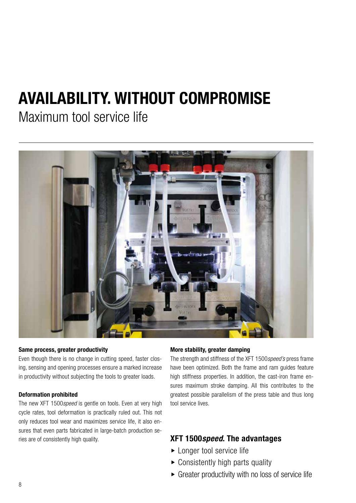## **AVAILABILITY. WITHOUT COMPROMISE**

Maximum tool service life



#### **Same process, greater productivity**

Even though there is no change in cutting speed, faster closing, sensing and opening processes ensure a marked increase in productivity without subjecting the tools to greater loads.

#### **Deformation prohibited**

The new XFT 1500*speed* is gentle on tools. Even at very high cycle rates, tool deformation is practically ruled out. This not only reduces tool wear and maximizes service life, it also ensures that even parts fabricated in large-batch production series are of consistently high quality. **XFT 1500***speed***. The advantages** 

#### **More stability, greater damping**

The strength and stiffness of the XFT 1500*speed's* press frame have been optimized. Both the frame and ram guides feature high stiffness properties. In addition, the cast-iron frame ensures maximum stroke damping. All this contributes to the greatest possible parallelism of the press table and thus long tool service lives.

- $\blacktriangleright$  Longer tool service life
- $\triangleright$  Consistently high parts quality
- $\triangleright$  Greater productivity with no loss of service life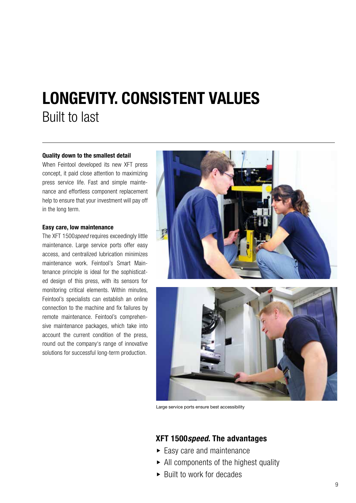## **LONGEVITY. CONSISTENT VALUES** Built to last

#### **Quality down to the smallest detail**

When Feintool developed its new XFT press concept, it paid close attention to maximizing press service life. Fast and simple maintenance and effortless component replacement help to ensure that your investment will pay off in the long term.

#### **Easy care, low maintenance**

The XFT 1500*speed* requires exceedingly little maintenance. Large service ports offer easy access, and centralized lubrication minimizes maintenance work. Feintool's Smart Maintenance principle is ideal for the sophisticated design of this press, with its sensors for monitoring critical elements. Within minutes, Feintool's specialists can establish an online connection to the machine and fix failures by remote maintenance. Feintool's comprehensive maintenance packages, which take into account the current condition of the press, round out the company's range of innovative solutions for successful long-term production.





Large service ports ensure best accessibility

- $\blacktriangleright$  Easy care and maintenance
- $\triangleright$  All components of the highest quality
- $\blacktriangleright$  Built to work for decades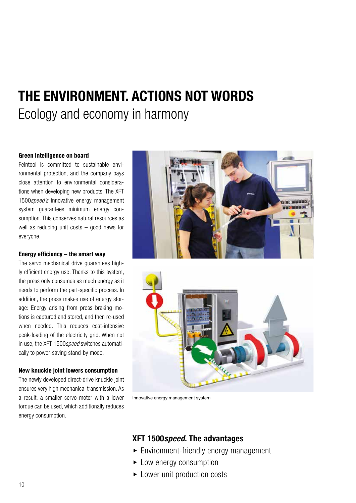### **THE ENVIRONMENT. ACTIONS NOT WORDS** Ecology and economy in harmony

#### **Green intelligence on board**

Feintool is committed to sustainable environmental protection, and the company pays close attention to environmental considerations when developing new products. The XFT 1500*speed's* innovative energy management system guarantees minimum energy consumption. This conserves natural resources as well as reducing unit costs – good news for everyone.

#### **Energy efficiency – the smart way**

The servo mechanical drive guarantees highly efficient energy use. Thanks to this system, the press only consumes as much energy as it needs to perform the part-specific process. In addition, the press makes use of energy storage: Energy arising from press braking motions is captured and stored, and then re-used when needed. This reduces cost-intensive peak-loading of the electricity grid. When not in use, the XFT 1500*speed* switches automatically to power-saving stand-by mode.

#### **New knuckle joint lowers consumption**

The newly developed direct-drive knuckle joint ensures very high mechanical transmission. As a result, a smaller servo motor with a lower torque can be used, which additionally reduces energy consumption.





Innovative energy management system

- $\blacktriangleright$  Environment-friendly energy management
- $\blacktriangleright$  Low energy consumption
- $\blacktriangleright$  Lower unit production costs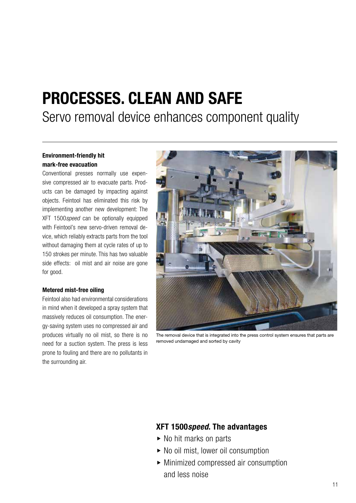## **PROCESSES. CLEAN AND SAFE**

Servo removal device enhances component quality

#### **Environment-friendly hit mark-free evacuation**

Conventional presses normally use expensive compressed air to evacuate parts. Products can be damaged by impacting against objects. Feintool has eliminated this risk by implementing another new development: The XFT 1500*speed* can be optionally equipped with Feintool's new servo-driven removal device, which reliably extracts parts from the tool without damaging them at cycle rates of up to 150 strokes per minute. This has two valuable side effects: oil mist and air noise are gone for good.

#### **Metered mist-free oiling**

Feintool also had environmental considerations in mind when it developed a spray system that massively reduces oil consumption. The energy-saving system uses no compressed air and produces virtually no oil mist, so there is no need for a suction system. The press is less prone to fouling and there are no pollutants in the surrounding air.



The removal device that is integrated into the press control system ensures that parts are removed undamaged and sorted by cavity

- $\triangleright$  No hit marks on parts
- $\triangleright$  No oil mist, lower oil consumption
- $\blacktriangleright$  Minimized compressed air consumption and less noise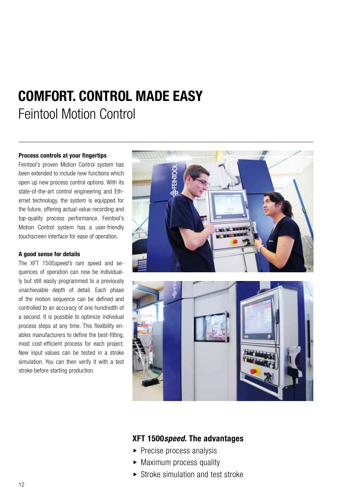## **COMFORT. CONTROL MADE EASY** Feintool Motion Control

#### **Process controls at your fingertips**

Feintool's proven Motion Control system has been extended to include new functions which open up new process control options. With its state-of-the-art control engineering and Ethernet technology, the system is equipped for the future, offering actual-value recording and top-quality process performance. Feintool's Motion Control system has a user-friendly touchscreen interface for ease of operation.

#### **A good sense for details**

The XFT 1500*speed's* ram speed and sequences of operation can now be individually but still easily programmed to a previously unachievable depth of detail. Each phase of the motion sequence can be defined and controlled to an accuracy of one hundredth of a second. It is possible to optimize individual process steps at any time. This flexibility enables manufacturers to define the best-fitting, most cost-efficient process for each project. New input values can be tested in a stroke simulation. You can then verify it with a test stroke before starting production.



- $\blacktriangleright$  Precise process analysis
- $\triangleright$  Maximum process quality
- $\triangleright$  Stroke simulation and test stroke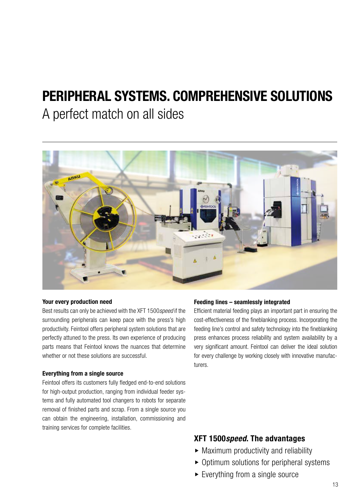### **PERIPHERAL SYSTEMS. COMPREHENSIVE SOLUTIONS**

### A perfect match on all sides



#### **Your every production need**

Best results can only be achieved with the XFT 1500*speed* if the surrounding peripherals can keep pace with the press's high productivity. Feintool offers peripheral system solutions that are perfectly attuned to the press. Its own experience of producing parts means that Feintool knows the nuances that determine whether or not these solutions are successful.

#### **Everything from a single source**

Feintool offers its customers fully fledged end-to-end solutions for high-output production, ranging from individual feeder systems and fully automated tool changers to robots for separate removal of finished parts and scrap. From a single source you can obtain the engineering, installation, commissioning and training services for complete facilities.

#### **Feeding lines – seamlessly integrated**

Efficient material feeding plays an important part in ensuring the cost-effectiveness of the fineblanking process. Incorporating the feeding line's control and safety technology into the fineblanking press enhances process reliability and system availability by a very significant amount. Feintool can deliver the ideal solution for every challenge by working closely with innovative manufacturers.

- $\triangleright$  Maximum productivity and reliability
- $\triangleright$  Optimum solutions for peripheral systems
- $\blacktriangleright$  Everything from a single source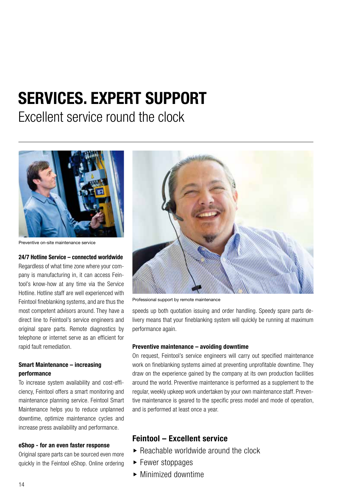## **SERVICES. EXPERT SUPPORT**

Excellent service round the clock



Preventive on-site maintenance service

#### **24/7 Hotline Service – connected worldwide**

Regardless of what time zone where your company is manufacturing in, it can access Feintool's know-how at any time via the Service Hotline. Hotline staff are well experienced with Feintool fineblanking systems, and are thus the most competent advisors around. They have a direct line to Feintool's service engineers and original spare parts. Remote diagnostics by telephone or internet serve as an efficient for rapid fault remediation.

#### **Smart Maintenance – increasing performance**

To increase system availability and cost-efficiency, Feintool offers a smart monitoring and maintenance planning service. Feintool Smart Maintenance helps you to reduce unplanned downtime, optimize maintenance cycles and increase press availability and performance.

#### **eShop - for an even faster response**

Original spare parts can be sourced even more quickly in the Feintool eShop. Online ordering



Professional support by remote maintenance

speeds up both quotation issuing and order handling. Speedy spare parts delivery means that your fineblanking system will quickly be running at maximum performance again.

#### **Preventive maintenance – avoiding downtime**

On request, Feintool's service engineers will carry out specified maintenance work on fineblanking systems aimed at preventing unprofitable downtime. They draw on the experience gained by the company at its own production facilities around the world. Preventive maintenance is performed as a supplement to the regular, weekly upkeep work undertaken by your own maintenance staff. Preventive maintenance is geared to the specific press model and mode of operation, and is performed at least once a year.

#### **Feintool – Excellent service**

- $\triangleright$  Reachable worldwide around the clock
- $\blacktriangleright$  Fewer stoppages
- $\blacktriangleright$  Minimized downtime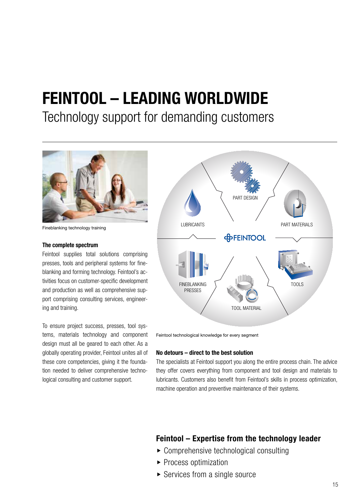## **FEINTOOL – LEADING WORLDWIDE**

### Technology support for demanding customers



Fineblanking technology training

#### **The complete spectrum**

Feintool supplies total solutions comprising presses, tools and peripheral systems for fineblanking and forming technology. Feintool's activities focus on customer-specific development and production as well as comprehensive support comprising consulting services, engineering and training.

To ensure project success, presses, tool systems, materials technology and component design must all be geared to each other. As a globally operating provider, Feintool unites all of these core competencies, giving it the foundation needed to deliver comprehensive technological consulting and customer support.



Feintool technological knowledge for every segment

#### **No detours – direct to the best solution**

The specialists at Feintool support you along the entire process chain. The advice they offer covers everything from component and tool design and materials to lubricants. Customers also benefit from Feintool's skills in process optimization, machine operation and preventive maintenance of their systems.

#### **Feintool – Expertise from the technology leader**

- $\triangleright$  Comprehensive technological consulting
- $\blacktriangleright$  Process optimization
- $\triangleright$  Services from a single source